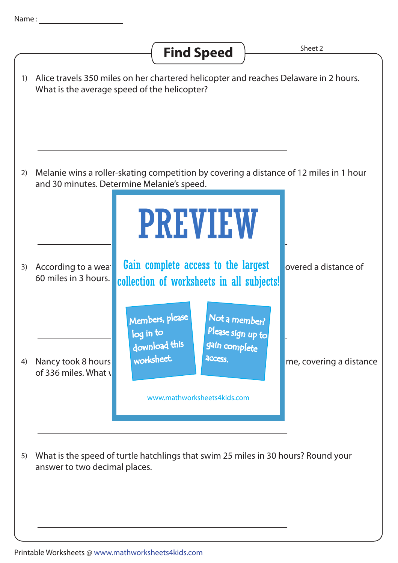